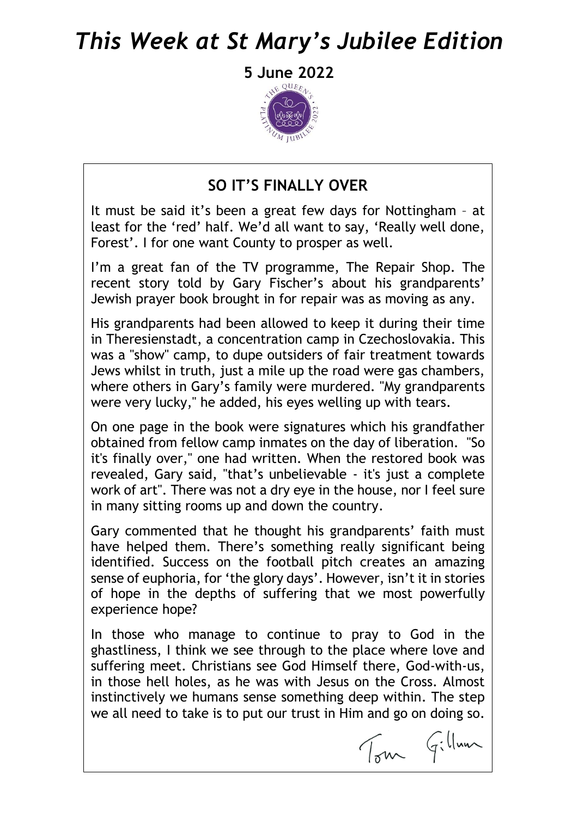# *This Week at St Mary's Jubilee Edition*

**5 June 2022**



#### **SO IT'S FINALLY OVER**

It must be said it's been a great few days for Nottingham – at least for the 'red' half. We'd all want to say, 'Really well done, Forest'. I for one want County to prosper as well.

I'm a great fan of the TV programme, The Repair Shop. The recent story told by Gary Fischer's about his grandparents' Jewish prayer book brought in for repair was as moving as any.

His grandparents had been allowed to keep it during their time in Theresienstadt, a concentration camp in Czechoslovakia. This was a "show" camp, to dupe outsiders of fair treatment towards Jews whilst in truth, just a mile up the road were gas chambers, where others in Gary's family were murdered. "My grandparents were very lucky," he added, his eyes welling up with tears.

On one page in the book were signatures which his grandfather obtained from fellow camp inmates on the day of liberation. "So it's finally over," one had written. When the restored book was revealed, Gary said, "that's unbelievable - it's just a complete work of art". There was not a dry eye in the house, nor I feel sure in many sitting rooms up and down the country.

Gary commented that he thought his grandparents' faith must have helped them. There's something really significant being identified. Success on the football pitch creates an amazing sense of euphoria, for 'the glory days'. However, isn't it in stories of hope in the depths of suffering that we most powerfully experience hope?

In those who manage to continue to pray to God in the ghastliness, I think we see through to the place where love and suffering meet. Christians see God Himself there, God-with-us, in those hell holes, as he was with Jesus on the Cross. Almost instinctively we humans sense something deep within. The step we all need to take is to put our trust in Him and go on doing so.

Tom Gillman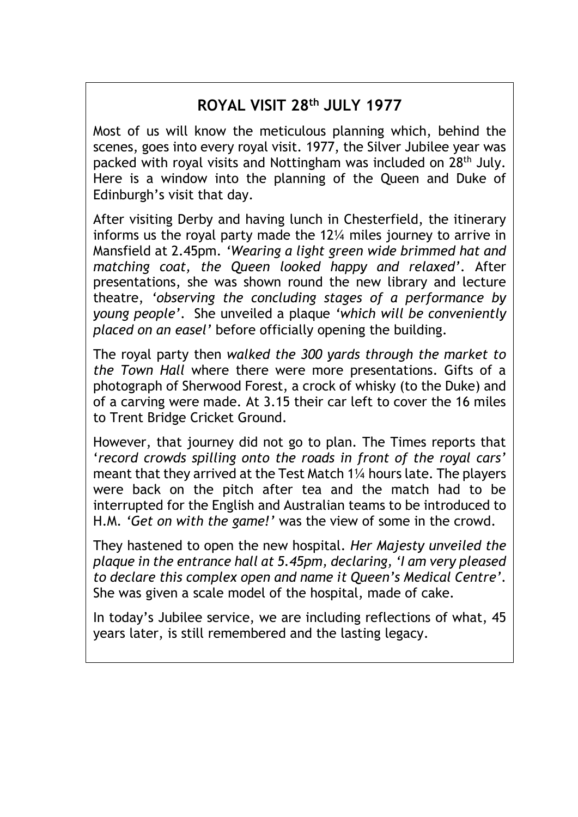## **ROYAL VISIT 28th JULY 1977**

Most of us will know the meticulous planning which, behind the scenes, goes into every royal visit. 1977, the Silver Jubilee year was packed with royal visits and Nottingham was included on 28th July. Here is a window into the planning of the Queen and Duke of Edinburgh's visit that day.

After visiting Derby and having lunch in Chesterfield, the itinerary informs us the royal party made the 12¼ miles journey to arrive in Mansfield at 2.45pm. *'Wearing a light green wide brimmed hat and matching coat, the Queen looked happy and relaxed'*. After presentations, she was shown round the new library and lecture theatre, *'observing the concluding stages of a performance by young people'*. She unveiled a plaque *'which will be conveniently placed on an easel'* before officially opening the building.

The royal party then *walked the 300 yards through the market to the Town Hall* where there were more presentations. Gifts of a photograph of Sherwood Forest, a crock of whisky (to the Duke) and of a carving were made. At 3.15 their car left to cover the 16 miles to Trent Bridge Cricket Ground.

However, that journey did not go to plan. The Times reports that '*record crowds spilling onto the roads in front of the royal cars'* meant that they arrived at the Test Match 1¼ hours late. The players were back on the pitch after tea and the match had to be interrupted for the English and Australian teams to be introduced to H.M. *'Get on with the game!'* was the view of some in the crowd.

They hastened to open the new hospital. *Her Majesty unveiled the plaque in the entrance hall at 5.45pm, declaring, 'I am very pleased to declare this complex open and name it Queen's Medical Centre'*. She was given a scale model of the hospital, made of cake.

In today's Jubilee service, we are including reflections of what, 45 years later, is still remembered and the lasting legacy.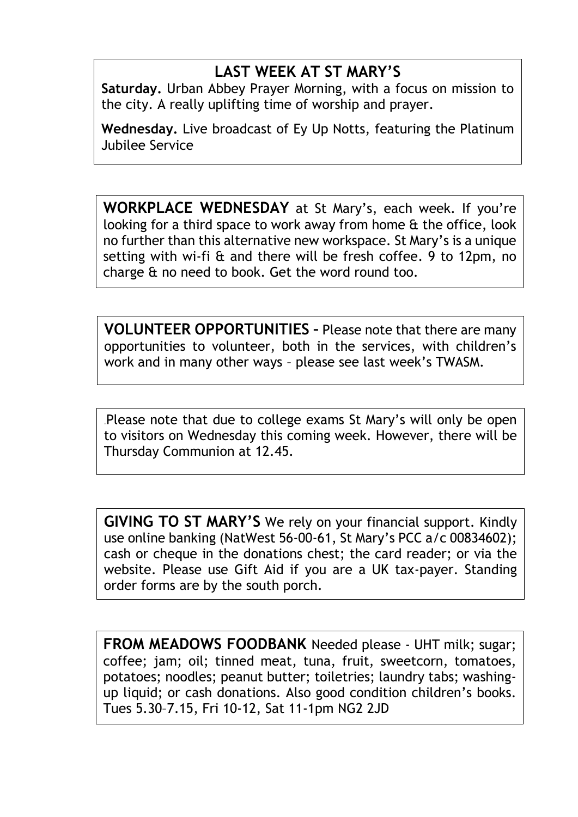## **LAST WEEK AT ST MARY'S**

**Saturday.** Urban Abbey Prayer Morning, with a focus on mission to the city. A really uplifting time of worship and prayer.

**Wednesday.** Live broadcast of Ey Up Notts, featuring the Platinum Jubilee Service

**WORKPLACE WEDNESDAY** at St Mary's, each week. If you're looking for a third space to work away from home & the office, look no further than this alternative new workspace. St Mary's is a unique setting with wi-fi & and there will be fresh coffee. 9 to 12pm, no charge & no need to book. Get the word round too.

**VOLUNTEER OPPORTUNITIES –** Please note that there are many opportunities to volunteer, both in the services, with children's work and in many other ways – please see last week's TWASM.

.Please note that due to college exams St Mary's will only be open to visitors on Wednesday this coming week. However, there will be Thursday Communion at 12.45.

**GIVING TO ST MARY'S** We rely on your financial support. Kindly use online banking (NatWest 56-00-61, St Mary's PCC a/c 00834602); cash or cheque in the donations chest; the card reader; or via the website. Please use Gift Aid if you are a UK tax-payer. Standing order forms are by the south porch.

**FROM MEADOWS FOODBANK** Needed please - UHT milk; sugar; coffee; jam; oil; tinned meat, tuna, fruit, sweetcorn, tomatoes, potatoes; noodles; peanut butter; toiletries; laundry tabs; washingup liquid; or cash donations. Also good condition children's books. Tues 5.30–7.15, Fri 10-12, Sat 11-1pm NG2 2JD